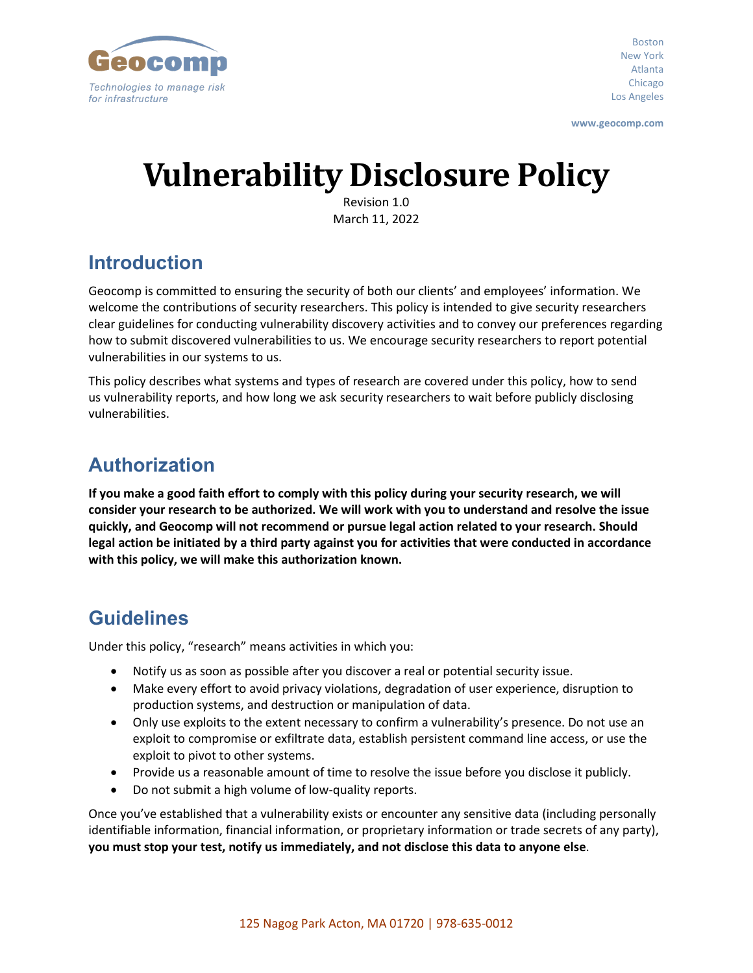

Boston New York Atlanta Chicago Los Angeles

**www.geocomp.com**

# **Vulnerability Disclosure Policy**

Revision 1.0 March 11, 2022

## **Introduction**

Geocomp is committed to ensuring the security of both our clients' and employees' information. We welcome the contributions of security researchers. This policy is intended to give security researchers clear guidelines for conducting vulnerability discovery activities and to convey our preferences regarding how to submit discovered vulnerabilities to us. We encourage security researchers to report potential vulnerabilities in our systems to us.

This policy describes what systems and types of research are covered under this policy, how to send us vulnerability reports, and how long we ask security researchers to wait before publicly disclosing vulnerabilities.

## **Authorization**

**If you make a good faith effort to comply with this policy during your security research, we will consider your research to be authorized. We will work with you to understand and resolve the issue quickly, and Geocomp will not recommend or pursue legal action related to your research. Should legal action be initiated by a third party against you for activities that were conducted in accordance with this policy, we will make this authorization known.**

### **Guidelines**

Under this policy, "research" means activities in which you:

- Notify us as soon as possible after you discover a real or potential security issue.
- Make every effort to avoid privacy violations, degradation of user experience, disruption to production systems, and destruction or manipulation of data.
- Only use exploits to the extent necessary to confirm a vulnerability's presence. Do not use an exploit to compromise or exfiltrate data, establish persistent command line access, or use the exploit to pivot to other systems.
- Provide us a reasonable amount of time to resolve the issue before you disclose it publicly.
- Do not submit a high volume of low-quality reports.

Once you've established that a vulnerability exists or encounter any sensitive data (including personally identifiable information, financial information, or proprietary information or trade secrets of any party), **you must stop your test, notify us immediately, and not disclose this data to anyone else**.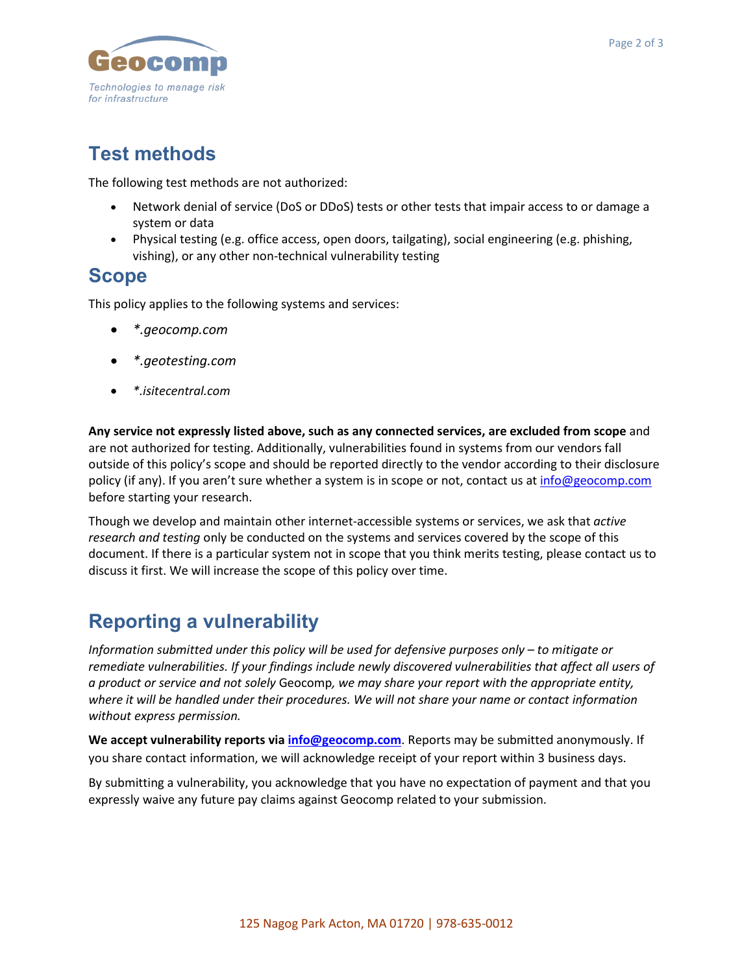

## **Test methods**

The following test methods are not authorized:

- Network denial of service (DoS or DDoS) tests or other tests that impair access to or damage a system or data
- Physical testing (e.g. office access, open doors, tailgating), social engineering (e.g. phishing, vishing), or any other non-technical vulnerability testing

#### **Scope**

This policy applies to the following systems and services:

- *\*.geocomp.com*
- *\*.geotesting.com*
- *\*.isitecentral.com*

**Any service not expressly listed above, such as any connected services, are excluded from scope** and are not authorized for testing. Additionally, vulnerabilities found in systems from our vendors fall outside of this policy's scope and should be reported directly to the vendor according to their disclosure policy (if any). If you aren't sure whether a system is in scope or not, contact us at [info@geocomp.com](mailto:info@geocomp.com) before starting your research.

Though we develop and maintain other internet-accessible systems or services, we ask that *active research and testing* only be conducted on the systems and services covered by the scope of this document. If there is a particular system not in scope that you think merits testing, please contact us to discuss it first. We will increase the scope of this policy over time.

### **Reporting a vulnerability**

*Information submitted under this policy will be used for defensive purposes only – to mitigate or remediate vulnerabilities. If your findings include newly discovered vulnerabilities that affect all users of a product or service and not solely* Geocomp*, we may share your report with the appropriate entity, where it will be handled under their procedures. We will not share your name or contact information without express permission.*

**We accept vulnerability reports via [info@geocomp.com](mailto:info@geocomp.com)**. Reports may be submitted anonymously. If you share contact information, we will acknowledge receipt of your report within 3 business days.

By submitting a vulnerability, you acknowledge that you have no expectation of payment and that you expressly waive any future pay claims against Geocomp related to your submission.